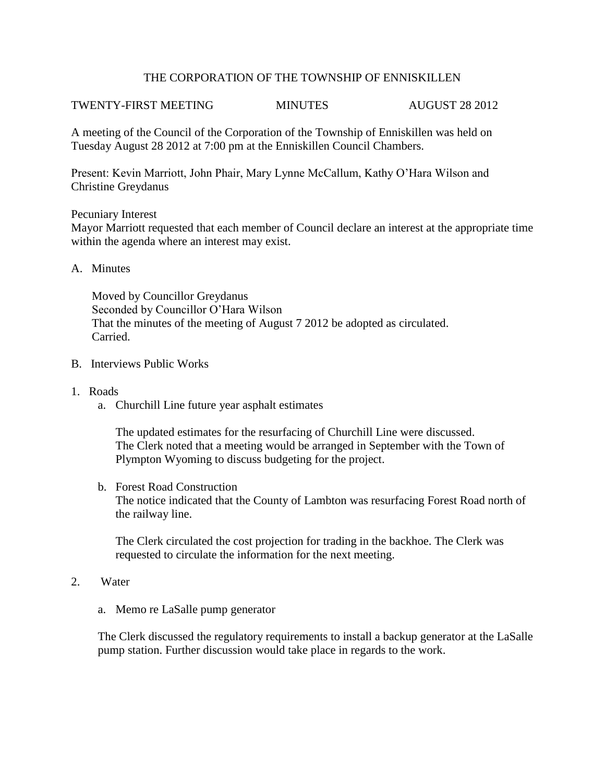## THE CORPORATION OF THE TOWNSHIP OF ENNISKILLEN

# TWENTY-FIRST MEETING MINUTES AUGUST 28 2012

A meeting of the Council of the Corporation of the Township of Enniskillen was held on Tuesday August 28 2012 at 7:00 pm at the Enniskillen Council Chambers.

Present: Kevin Marriott, John Phair, Mary Lynne McCallum, Kathy O'Hara Wilson and Christine Greydanus

Pecuniary Interest

Mayor Marriott requested that each member of Council declare an interest at the appropriate time within the agenda where an interest may exist.

### A. Minutes

 Moved by Councillor Greydanus Seconded by Councillor O'Hara Wilson That the minutes of the meeting of August 7 2012 be adopted as circulated. Carried.

- B. Interviews Public Works
- 1. Roads
	- a. Churchill Line future year asphalt estimates

The updated estimates for the resurfacing of Churchill Line were discussed. The Clerk noted that a meeting would be arranged in September with the Town of Plympton Wyoming to discuss budgeting for the project.

b. Forest Road Construction The notice indicated that the County of Lambton was resurfacing Forest Road north of the railway line.

The Clerk circulated the cost projection for trading in the backhoe. The Clerk was requested to circulate the information for the next meeting.

- 2. Water
	- a. Memo re LaSalle pump generator

 The Clerk discussed the regulatory requirements to install a backup generator at the LaSalle pump station. Further discussion would take place in regards to the work.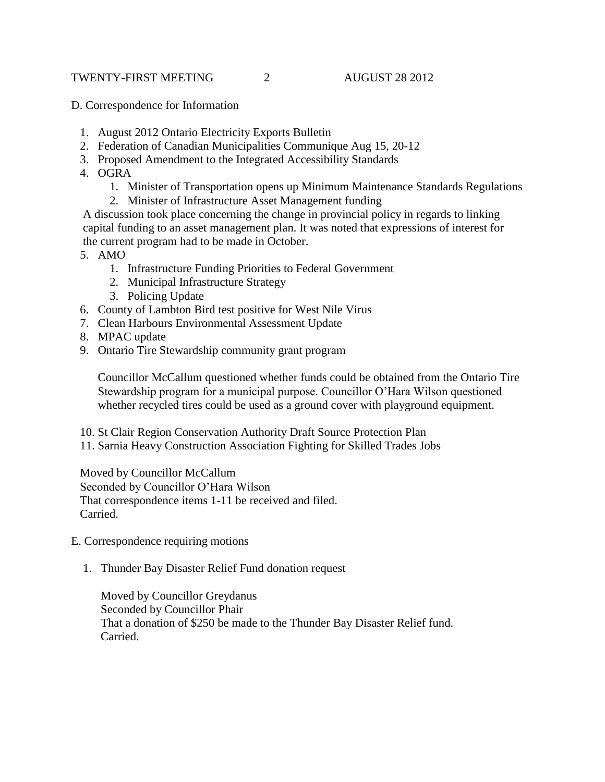## TWENTY-FIRST MEETING 2 AUGUST 28 2012

- D. Correspondence for Information
	- 1. August 2012 Ontario Electricity Exports Bulletin
	- 2. Federation of Canadian Municipalities Communique Aug 15, 20-12
	- 3. Proposed Amendment to the Integrated Accessibility Standards
	- 4. OGRA
		- 1. Minister of Transportation opens up Minimum Maintenance Standards Regulations
		- 2. Minister of Infrastructure Asset Management funding

 A discussion took place concerning the change in provincial policy in regards to linking capital funding to an asset management plan. It was noted that expressions of interest for the current program had to be made in October.

- 5. AMO
	- 1. Infrastructure Funding Priorities to Federal Government
	- 2. Municipal Infrastructure Strategy
	- 3. Policing Update
- 6. County of Lambton Bird test positive for West Nile Virus
- 7. Clean Harbours Environmental Assessment Update
- 8. MPAC update
- 9. Ontario Tire Stewardship community grant program

Councillor McCallum questioned whether funds could be obtained from the Ontario Tire Stewardship program for a municipal purpose. Councillor O'Hara Wilson questioned whether recycled tires could be used as a ground cover with playground equipment.

10. St Clair Region Conservation Authority Draft Source Protection Plan

11. Sarnia Heavy Construction Association Fighting for Skilled Trades Jobs

Moved by Councillor McCallum Seconded by Councillor O'Hara Wilson That correspondence items 1-11 be received and filed. Carried.

- E. Correspondence requiring motions
	- 1. Thunder Bay Disaster Relief Fund donation request

Moved by Councillor Greydanus Seconded by Councillor Phair That a donation of \$250 be made to the Thunder Bay Disaster Relief fund. Carried.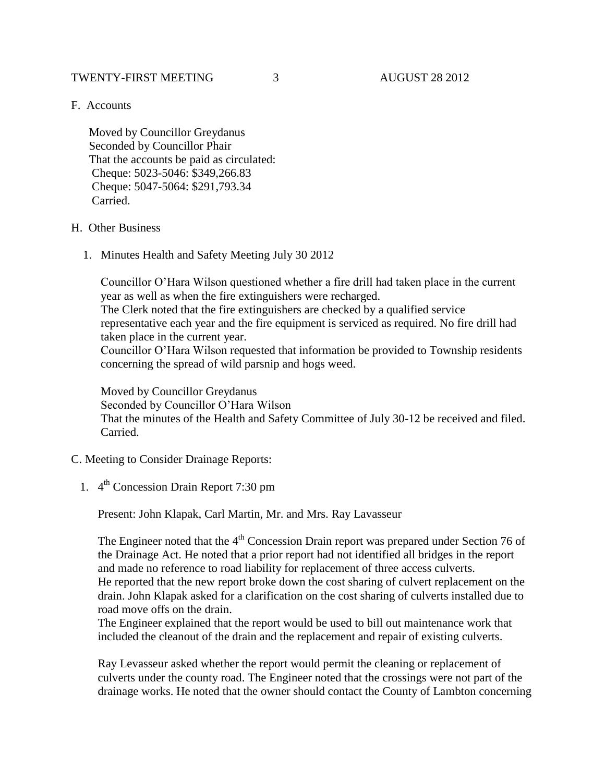## TWENTY-FIRST MEETING  $\begin{array}{ccc} 3 & 3 & 4 \end{array}$  AUGUST 28 2012

F. Accounts

 Moved by Councillor Greydanus Seconded by Councillor Phair That the accounts be paid as circulated: Cheque: 5023-5046: \$349,266.83 Cheque: 5047-5064: \$291,793.34 Carried.

### H. Other Business

1. Minutes Health and Safety Meeting July 30 2012

Councillor O'Hara Wilson questioned whether a fire drill had taken place in the current year as well as when the fire extinguishers were recharged.

The Clerk noted that the fire extinguishers are checked by a qualified service representative each year and the fire equipment is serviced as required. No fire drill had taken place in the current year.

Councillor O'Hara Wilson requested that information be provided to Township residents concerning the spread of wild parsnip and hogs weed.

Moved by Councillor Greydanus Seconded by Councillor O'Hara Wilson That the minutes of the Health and Safety Committee of July 30-12 be received and filed. Carried.

#### C. Meeting to Consider Drainage Reports:

1. 4<sup>th</sup> Concession Drain Report 7:30 pm

Present: John Klapak, Carl Martin, Mr. and Mrs. Ray Lavasseur

The Engineer noted that the  $4<sup>th</sup>$  Concession Drain report was prepared under Section 76 of the Drainage Act. He noted that a prior report had not identified all bridges in the report and made no reference to road liability for replacement of three access culverts. He reported that the new report broke down the cost sharing of culvert replacement on the drain. John Klapak asked for a clarification on the cost sharing of culverts installed due to road move offs on the drain.

The Engineer explained that the report would be used to bill out maintenance work that included the cleanout of the drain and the replacement and repair of existing culverts.

Ray Levasseur asked whether the report would permit the cleaning or replacement of culverts under the county road. The Engineer noted that the crossings were not part of the drainage works. He noted that the owner should contact the County of Lambton concerning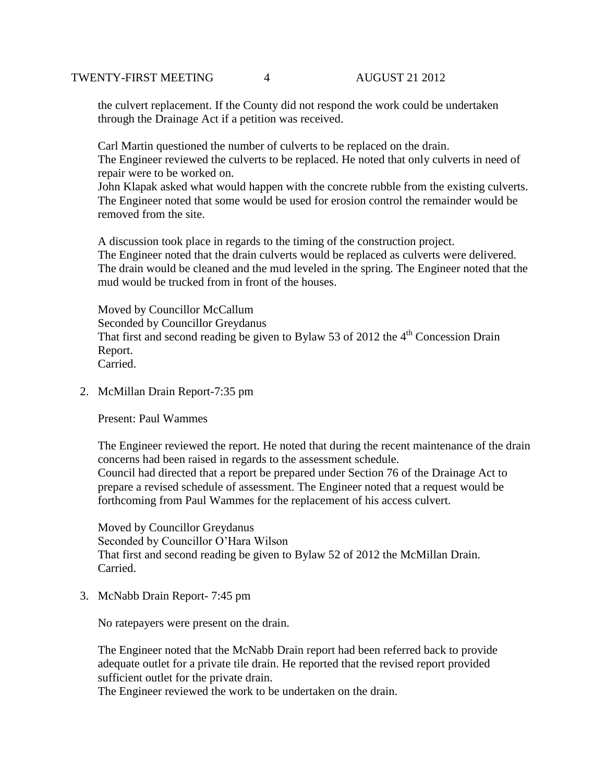the culvert replacement. If the County did not respond the work could be undertaken through the Drainage Act if a petition was received.

Carl Martin questioned the number of culverts to be replaced on the drain. The Engineer reviewed the culverts to be replaced. He noted that only culverts in need of repair were to be worked on.

John Klapak asked what would happen with the concrete rubble from the existing culverts. The Engineer noted that some would be used for erosion control the remainder would be removed from the site.

A discussion took place in regards to the timing of the construction project. The Engineer noted that the drain culverts would be replaced as culverts were delivered. The drain would be cleaned and the mud leveled in the spring. The Engineer noted that the mud would be trucked from in front of the houses.

Moved by Councillor McCallum Seconded by Councillor Greydanus That first and second reading be given to Bylaw 53 of 2012 the  $4<sup>th</sup>$  Concession Drain Report. Carried.

2. McMillan Drain Report-7:35 pm

Present: Paul Wammes

The Engineer reviewed the report. He noted that during the recent maintenance of the drain concerns had been raised in regards to the assessment schedule. Council had directed that a report be prepared under Section 76 of the Drainage Act to prepare a revised schedule of assessment. The Engineer noted that a request would be forthcoming from Paul Wammes for the replacement of his access culvert.

Moved by Councillor Greydanus Seconded by Councillor O'Hara Wilson That first and second reading be given to Bylaw 52 of 2012 the McMillan Drain. Carried.

3. McNabb Drain Report- 7:45 pm

No ratepayers were present on the drain.

The Engineer noted that the McNabb Drain report had been referred back to provide adequate outlet for a private tile drain. He reported that the revised report provided sufficient outlet for the private drain.

The Engineer reviewed the work to be undertaken on the drain.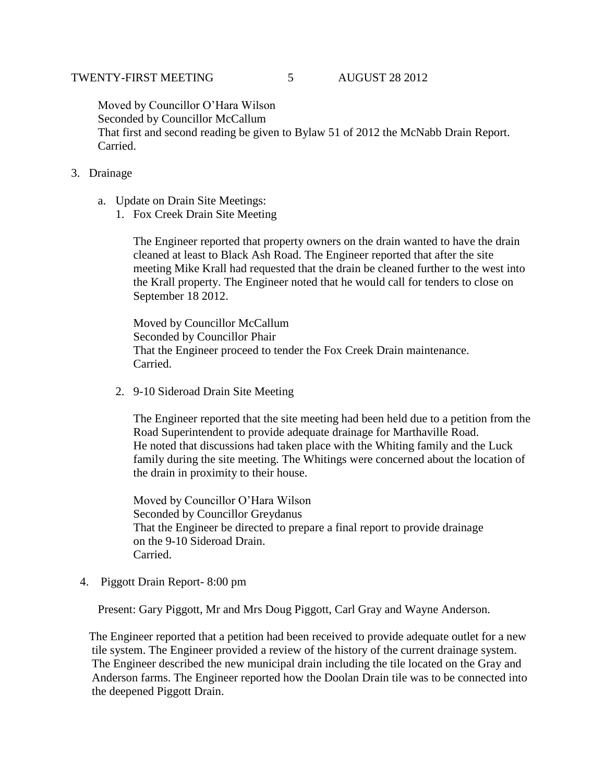Moved by Councillor O'Hara Wilson Seconded by Councillor McCallum That first and second reading be given to Bylaw 51 of 2012 the McNabb Drain Report. Carried.

- 3. Drainage
	- a. Update on Drain Site Meetings:
		- 1. Fox Creek Drain Site Meeting

The Engineer reported that property owners on the drain wanted to have the drain cleaned at least to Black Ash Road. The Engineer reported that after the site meeting Mike Krall had requested that the drain be cleaned further to the west into the Krall property. The Engineer noted that he would call for tenders to close on September 18 2012.

Moved by Councillor McCallum Seconded by Councillor Phair That the Engineer proceed to tender the Fox Creek Drain maintenance. Carried.

2. 9-10 Sideroad Drain Site Meeting

The Engineer reported that the site meeting had been held due to a petition from the Road Superintendent to provide adequate drainage for Marthaville Road. He noted that discussions had taken place with the Whiting family and the Luck family during the site meeting. The Whitings were concerned about the location of the drain in proximity to their house.

Moved by Councillor O'Hara Wilson Seconded by Councillor Greydanus That the Engineer be directed to prepare a final report to provide drainage on the 9-10 Sideroad Drain. Carried.

4. Piggott Drain Report- 8:00 pm

Present: Gary Piggott, Mr and Mrs Doug Piggott, Carl Gray and Wayne Anderson.

 The Engineer reported that a petition had been received to provide adequate outlet for a new tile system. The Engineer provided a review of the history of the current drainage system. The Engineer described the new municipal drain including the tile located on the Gray and Anderson farms. The Engineer reported how the Doolan Drain tile was to be connected into the deepened Piggott Drain.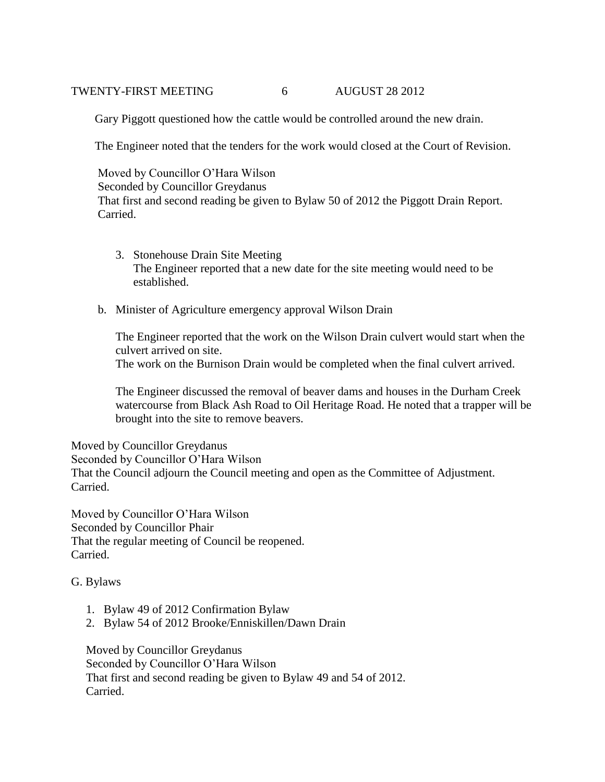### TWENTY-FIRST MEETING 6 AUGUST 28 2012

Gary Piggott questioned how the cattle would be controlled around the new drain.

The Engineer noted that the tenders for the work would closed at the Court of Revision.

 Moved by Councillor O'Hara Wilson Seconded by Councillor Greydanus That first and second reading be given to Bylaw 50 of 2012 the Piggott Drain Report. Carried.

- 3. Stonehouse Drain Site Meeting The Engineer reported that a new date for the site meeting would need to be established.
- b. Minister of Agriculture emergency approval Wilson Drain

The Engineer reported that the work on the Wilson Drain culvert would start when the culvert arrived on site.

The work on the Burnison Drain would be completed when the final culvert arrived.

The Engineer discussed the removal of beaver dams and houses in the Durham Creek watercourse from Black Ash Road to Oil Heritage Road. He noted that a trapper will be brought into the site to remove beavers.

Moved by Councillor Greydanus Seconded by Councillor O'Hara Wilson That the Council adjourn the Council meeting and open as the Committee of Adjustment. Carried.

Moved by Councillor O'Hara Wilson Seconded by Councillor Phair That the regular meeting of Council be reopened. Carried.

## G. Bylaws

- 1. Bylaw 49 of 2012 Confirmation Bylaw
- 2. Bylaw 54 of 2012 Brooke/Enniskillen/Dawn Drain

 Moved by Councillor Greydanus Seconded by Councillor O'Hara Wilson That first and second reading be given to Bylaw 49 and 54 of 2012. Carried.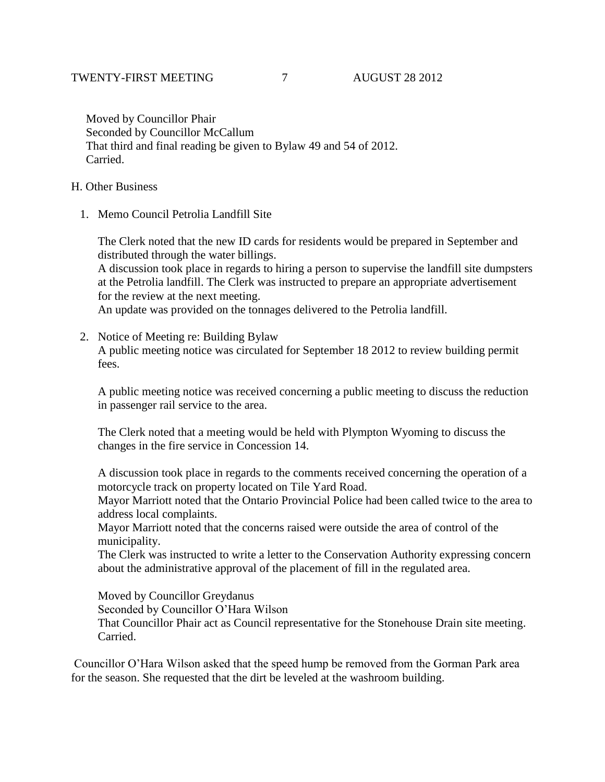Moved by Councillor Phair Seconded by Councillor McCallum That third and final reading be given to Bylaw 49 and 54 of 2012. Carried.

## H. Other Business

1. Memo Council Petrolia Landfill Site

The Clerk noted that the new ID cards for residents would be prepared in September and distributed through the water billings. A discussion took place in regards to hiring a person to supervise the landfill site dumpsters at the Petrolia landfill. The Clerk was instructed to prepare an appropriate advertisement for the review at the next meeting.

An update was provided on the tonnages delivered to the Petrolia landfill.

2. Notice of Meeting re: Building Bylaw A public meeting notice was circulated for September 18 2012 to review building permit fees.

A public meeting notice was received concerning a public meeting to discuss the reduction in passenger rail service to the area.

The Clerk noted that a meeting would be held with Plympton Wyoming to discuss the changes in the fire service in Concession 14.

A discussion took place in regards to the comments received concerning the operation of a motorcycle track on property located on Tile Yard Road.

Mayor Marriott noted that the Ontario Provincial Police had been called twice to the area to address local complaints.

Mayor Marriott noted that the concerns raised were outside the area of control of the municipality.

The Clerk was instructed to write a letter to the Conservation Authority expressing concern about the administrative approval of the placement of fill in the regulated area.

Moved by Councillor Greydanus

Seconded by Councillor O'Hara Wilson

That Councillor Phair act as Council representative for the Stonehouse Drain site meeting. Carried.

Councillor O'Hara Wilson asked that the speed hump be removed from the Gorman Park area for the season. She requested that the dirt be leveled at the washroom building.